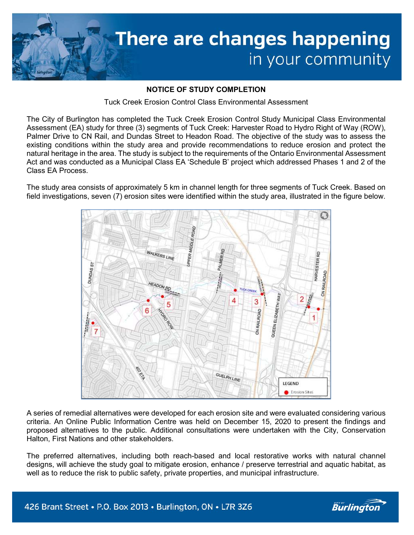

## NOTICE OF STUDY COMPLETION

Tuck Creek Erosion Control Class Environmental Assessment

The City of Burlington has completed the Tuck Creek Erosion Control Study Municipal Class Environmental Assessment (EA) study for three (3) segments of Tuck Creek: Harvester Road to Hydro Right of Way (ROW), Palmer Drive to CN Rail, and Dundas Street to Headon Road. The objective of the study was to assess the existing conditions within the study area and provide recommendations to reduce erosion and protect the natural heritage in the area. The study is subject to the requirements of the Ontario Environmental Assessment Act and was conducted as a Municipal Class EA 'Schedule B' project which addressed Phases 1 and 2 of the Class EA Process.

The study area consists of approximately 5 km in channel length for three segments of Tuck Creek. Based on field investigations, seven (7) erosion sites were identified within the study area, illustrated in the figure below.



A series of remedial alternatives were developed for each erosion site and were evaluated considering various criteria. An Online Public Information Centre was held on December 15, 2020 to present the findings and proposed alternatives to the public. Additional consultations were undertaken with the City, Conservation Halton, First Nations and other stakeholders.

The preferred alternatives, including both reach-based and local restorative works with natural channel designs, will achieve the study goal to mitigate erosion, enhance / preserve terrestrial and aquatic habitat, as well as to reduce the risk to public safety, private properties, and municipal infrastructure.